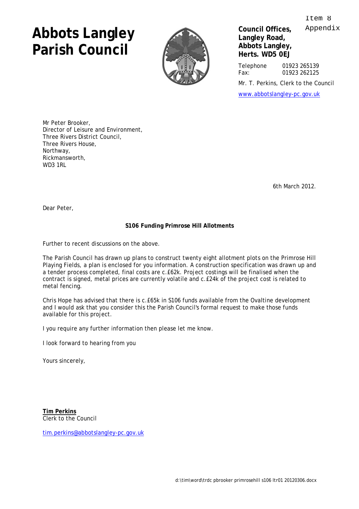## **Abbots Langley Parish Council**



**Council Offices, Langley Road, Abbots Langley, Herts. WD5 0EJ** 

Telephone 01923 265139 Fax: 01923 262125

Mr. T. Perkins, Clerk to the Council

[www.abbotslangley-pc.gov.uk](http://www.abbotslangley-pc.gov.uk)

Mr Peter Brooker, Director of Leisure and Environment, Three Rivers District Council, Three Rivers House, Northway, Rickmansworth, **WD3 1RL** 

6th March 2012.

Dear Peter,

## **S106 Funding Primrose Hill Allotments**

Further to recent discussions on the above.

The Parish Council has drawn up plans to construct twenty eight allotment plots on the Primrose Hill Playing Fields, a plan is enclosed for you information. A construction specification was drawn up and a tender process completed, final costs are c.£62k. Project costings will be finalised when the contract is signed, metal prices are currently volatile and c.£24k of the project cost is related to metal fencing.

Chris Hope has advised that there is c.£65k in S106 funds available from the Ovaltine development and I would ask that you consider this the Parish Council's formal request to make those funds available for this project.

I you require any further information then please let me know.

I look forward to hearing from you

Yours sincerely,

**Tim Perkins** Clerk to the Council

[tim.perkins@abbotslangley-pc.gov.uk](mailto:tim.perkins@abbotslangley-pc.gov.uk) 

 $T \uparrow \rho m$  8 Appendix